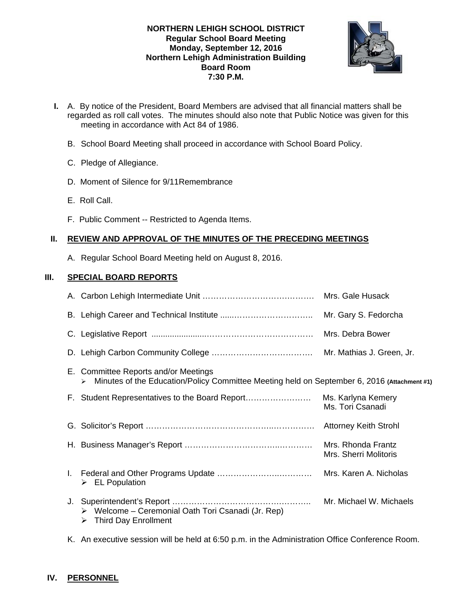#### **NORTHERN LEHIGH SCHOOL DISTRICT Regular School Board Meeting Monday, September 12, 2016 Northern Lehigh Administration Building Board Room 7:30 P.M.**



- **I.** A. By notice of the President, Board Members are advised that all financial matters shall be regarded as roll call votes. The minutes should also note that Public Notice was given for this meeting in accordance with Act 84 of 1986.
	- B. School Board Meeting shall proceed in accordance with School Board Policy.
	- C. Pledge of Allegiance.
	- D. Moment of Silence for 9/11Remembrance
	- E. Roll Call.
	- F. Public Comment -- Restricted to Agenda Items.

## **II. REVIEW AND APPROVAL OF THE MINUTES OF THE PRECEDING MEETINGS**

A. Regular School Board Meeting held on August 8, 2016.

## **III. SPECIAL BOARD REPORTS**

|    |                                                                                                                                          | Mrs. Gale Husack                            |
|----|------------------------------------------------------------------------------------------------------------------------------------------|---------------------------------------------|
|    |                                                                                                                                          |                                             |
|    |                                                                                                                                          | Mrs. Debra Bower                            |
|    |                                                                                                                                          |                                             |
|    | E. Committee Reports and/or Meetings<br>Minutes of the Education/Policy Committee Meeting held on September 6, 2016 (Attachment #1)<br>↘ |                                             |
|    | F. Student Representatives to the Board Report                                                                                           | Ms. Karlyna Kemery<br>Ms. Tori Csanadi      |
|    |                                                                                                                                          |                                             |
|    |                                                                                                                                          | Mrs. Rhonda Frantz<br>Mrs. Sherri Molitoris |
| L. | $\triangleright$ EL Population                                                                                                           | Mrs. Karen A. Nicholas                      |
|    | Welcome - Ceremonial Oath Tori Csanadi (Jr. Rep)<br>➤<br><b>Third Day Enrollment</b><br>⋗                                                | Mr. Michael W. Michaels                     |

K. An executive session will be held at 6:50 p.m. in the Administration Office Conference Room.

# **IV. PERSONNEL**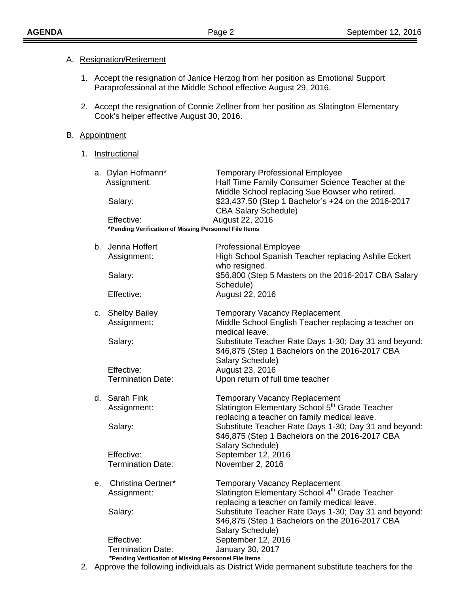#### A. Resignation/Retirement

- 1. Accept the resignation of Janice Herzog from her position as Emotional Support Paraprofessional at the Middle School effective August 29, 2016.
- 2. Accept the resignation of Connie Zellner from her position as Slatington Elementary Cook's helper effective August 30, 2016.

#### B. Appointment

1. Instructional

|    |    | a. Dylan Hofmann*<br>Assignment:<br>Salary:                         | <b>Temporary Professional Employee</b><br>Half Time Family Consumer Science Teacher at the<br>Middle School replacing Sue Bowser who retired.<br>\$23,437.50 (Step 1 Bachelor's +24 on the 2016-2017<br><b>CBA Salary Schedule)</b> |
|----|----|---------------------------------------------------------------------|-------------------------------------------------------------------------------------------------------------------------------------------------------------------------------------------------------------------------------------|
|    |    | Effective:<br>*Pending Verification of Missing Personnel File Items | August 22, 2016                                                                                                                                                                                                                     |
|    |    | b. Jenna Hoffert                                                    | <b>Professional Employee</b>                                                                                                                                                                                                        |
|    |    | Assignment:                                                         | High School Spanish Teacher replacing Ashlie Eckert<br>who resigned.                                                                                                                                                                |
|    |    | Salary:                                                             | \$56,800 (Step 5 Masters on the 2016-2017 CBA Salary<br>Schedule)                                                                                                                                                                   |
|    |    | Effective:                                                          | August 22, 2016                                                                                                                                                                                                                     |
|    |    | c. Shelby Bailey<br>Assignment:                                     | <b>Temporary Vacancy Replacement</b><br>Middle School English Teacher replacing a teacher on                                                                                                                                        |
|    |    | Salary:                                                             | medical leave.<br>Substitute Teacher Rate Days 1-30; Day 31 and beyond:<br>\$46,875 (Step 1 Bachelors on the 2016-2017 CBA                                                                                                          |
|    |    | Effective:                                                          | Salary Schedule)<br>August 23, 2016                                                                                                                                                                                                 |
|    |    | <b>Termination Date:</b>                                            | Upon return of full time teacher                                                                                                                                                                                                    |
|    |    | d. Sarah Fink                                                       | <b>Temporary Vacancy Replacement</b>                                                                                                                                                                                                |
|    |    | Assignment:                                                         | Slatington Elementary School 5 <sup>th</sup> Grade Teacher<br>replacing a teacher on family medical leave.                                                                                                                          |
|    |    | Salary:                                                             | Substitute Teacher Rate Days 1-30; Day 31 and beyond:<br>\$46,875 (Step 1 Bachelors on the 2016-2017 CBA                                                                                                                            |
|    |    | Effective:                                                          | Salary Schedule)<br>September 12, 2016                                                                                                                                                                                              |
|    |    | <b>Termination Date:</b>                                            | November 2, 2016                                                                                                                                                                                                                    |
|    | е. | Christina Oertner*                                                  | <b>Temporary Vacancy Replacement</b>                                                                                                                                                                                                |
|    |    | Assignment:                                                         | Slatington Elementary School 4 <sup>th</sup> Grade Teacher<br>replacing a teacher on family medical leave                                                                                                                           |
|    |    | Salary:                                                             | Substitute Teacher Rate Days 1-30; Day 31 and beyond:<br>\$46,875 (Step 1 Bachelors on the 2016-2017 CBA                                                                                                                            |
|    |    | Effective:                                                          | Salary Schedule)<br>September 12, 2016                                                                                                                                                                                              |
|    |    | <b>Termination Date:</b>                                            | January 30, 2017                                                                                                                                                                                                                    |
| 2. |    | *Pending Verification of Missing Personnel File Items               | Approve the following individuals as District Wide permanent substitute teachers for the                                                                                                                                            |
|    |    |                                                                     |                                                                                                                                                                                                                                     |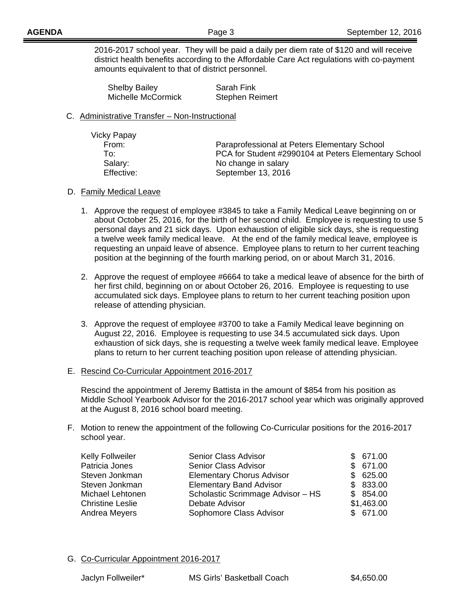2016-2017 school year. They will be paid a daily per diem rate of \$120 and will receive district health benefits according to the Affordable Care Act regulations with co-payment amounts equivalent to that of district personnel.

| <b>Shelby Bailey</b> | Sarah Fink             |
|----------------------|------------------------|
| Michelle McCormick   | <b>Stephen Reimert</b> |

#### C. Administrative Transfer – Non-Instructional

| Vicky Papay |                                                      |
|-------------|------------------------------------------------------|
| From:       | Paraprofessional at Peters Elementary School         |
| To: I       | PCA for Student #2990104 at Peters Elementary School |
| Salary:     | No change in salary                                  |
| Effective:  | September 13, 2016                                   |

## D. Family Medical Leave

- 1. Approve the request of employee #3845 to take a Family Medical Leave beginning on or about October 25, 2016, for the birth of her second child. Employee is requesting to use 5 personal days and 21 sick days. Upon exhaustion of eligible sick days, she is requesting a twelve week family medical leave. At the end of the family medical leave, employee is requesting an unpaid leave of absence. Employee plans to return to her current teaching position at the beginning of the fourth marking period, on or about March 31, 2016.
- 2. Approve the request of employee #6664 to take a medical leave of absence for the birth of her first child, beginning on or about October 26, 2016. Employee is requesting to use accumulated sick days. Employee plans to return to her current teaching position upon release of attending physician.
- 3. Approve the request of employee #3700 to take a Family Medical leave beginning on August 22, 2016. Employee is requesting to use 34.5 accumulated sick days. Upon exhaustion of sick days, she is requesting a twelve week family medical leave. Employee plans to return to her current teaching position upon release of attending physician.
- E. Rescind Co-Curricular Appointment 2016-2017

Rescind the appointment of Jeremy Battista in the amount of \$854 from his position as Middle School Yearbook Advisor for the 2016-2017 school year which was originally approved at the August 8, 2016 school board meeting.

F. Motion to renew the appointment of the following Co-Curricular positions for the 2016-2017 school year.

| Kelly Follweiler        | Senior Class Advisor              | \$671.00   |
|-------------------------|-----------------------------------|------------|
| Patricia Jones          | <b>Senior Class Advisor</b>       | \$671.00   |
| Steven Jonkman          | <b>Elementary Chorus Advisor</b>  | \$625.00   |
| Steven Jonkman          | <b>Elementary Band Advisor</b>    | \$833.00   |
| Michael Lehtonen        | Scholastic Scrimmage Advisor - HS | \$854.00   |
| <b>Christine Leslie</b> | Debate Advisor                    | \$1,463.00 |
| Andrea Meyers           | Sophomore Class Advisor           | \$671.00   |
|                         |                                   |            |

## G. Co-Curricular Appointment 2016-2017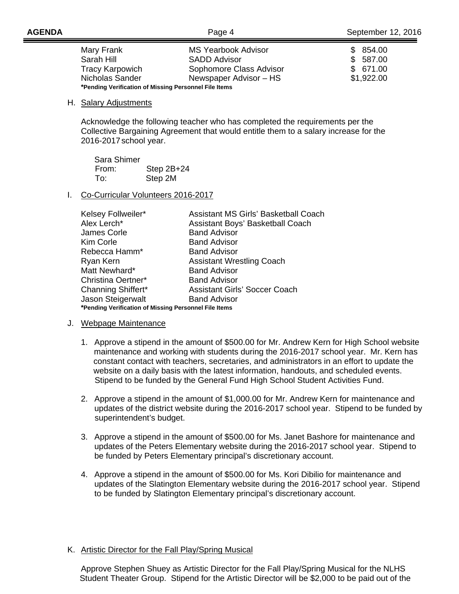| Mary Frank                                            | <b>MS Yearbook Advisor</b> | \$854.00   |
|-------------------------------------------------------|----------------------------|------------|
| Sarah Hill                                            | <b>SADD Advisor</b>        | \$587.00   |
| <b>Tracy Karpowich</b>                                | Sophomore Class Advisor    | \$671.00   |
| Nicholas Sander                                       | Newspaper Advisor – HS     | \$1,922.00 |
| *Pending Verification of Missing Personnel File Items |                            |            |

#### H. Salary Adjustments

 Acknowledge the following teacher who has completed the requirements per the Collective Bargaining Agreement that would entitle them to a salary increase for the 2016-2017 school year.

| Sara Shimer |              |
|-------------|--------------|
| From:       | Step $2B+24$ |
| To:         | Step 2M      |

#### I. Co-Curricular Volunteers 2016-2017

| Kelsey Follweiler*                                    | <b>Assistant MS Girls' Basketball Coach</b> |  |
|-------------------------------------------------------|---------------------------------------------|--|
| Alex Lerch*                                           | Assistant Boys' Basketball Coach            |  |
| James Corle                                           | <b>Band Advisor</b>                         |  |
| Kim Corle                                             | <b>Band Advisor</b>                         |  |
| Rebecca Hamm*                                         | <b>Band Advisor</b>                         |  |
| Ryan Kern                                             | <b>Assistant Wrestling Coach</b>            |  |
| Matt Newhard*                                         | <b>Band Advisor</b>                         |  |
| Christina Oertner*                                    | <b>Band Advisor</b>                         |  |
| <b>Channing Shiffert*</b>                             | <b>Assistant Girls' Soccer Coach</b>        |  |
| Jason Steigerwalt                                     | <b>Band Advisor</b>                         |  |
| *Pending Verification of Missing Personnel File Items |                                             |  |

#### J. Webpage Maintenance

- 1. Approve a stipend in the amount of \$500.00 for Mr. Andrew Kern for High School website maintenance and working with students during the 2016-2017 school year. Mr. Kern has constant contact with teachers, secretaries, and administrators in an effort to update the website on a daily basis with the latest information, handouts, and scheduled events. Stipend to be funded by the General Fund High School Student Activities Fund.
- 2. Approve a stipend in the amount of \$1,000.00 for Mr. Andrew Kern for maintenance and updates of the district website during the 2016-2017 school year. Stipend to be funded by superintendent's budget.
- 3. Approve a stipend in the amount of \$500.00 for Ms. Janet Bashore for maintenance and updates of the Peters Elementary website during the 2016-2017 school year. Stipend to be funded by Peters Elementary principal's discretionary account.
- 4. Approve a stipend in the amount of \$500.00 for Ms. Kori Dibilio for maintenance and updates of the Slatington Elementary website during the 2016-2017 school year. Stipend to be funded by Slatington Elementary principal's discretionary account.

#### K. Artistic Director for the Fall Play/Spring Musical

 Approve Stephen Shuey as Artistic Director for the Fall Play/Spring Musical for the NLHS Student Theater Group. Stipend for the Artistic Director will be \$2,000 to be paid out of the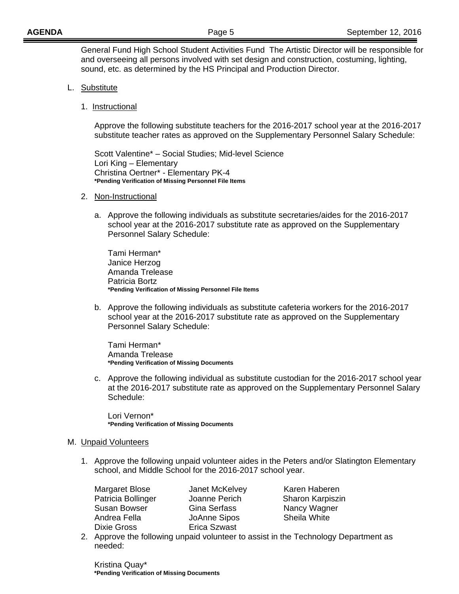General Fund High School Student Activities Fund The Artistic Director will be responsible for and overseeing all persons involved with set design and construction, costuming, lighting, sound, etc. as determined by the HS Principal and Production Director.

- L. Substitute
	- 1. Instructional

 Approve the following substitute teachers for the 2016-2017 school year at the 2016-2017 substitute teacher rates as approved on the Supplementary Personnel Salary Schedule:

 Scott Valentine\* – Social Studies; Mid-level Science Lori King – Elementary Christina Oertner\* - Elementary PK-4 **\*Pending Verification of Missing Personnel File Items** 

- 2. Non-Instructional
	- a. Approve the following individuals as substitute secretaries/aides for the 2016-2017 school year at the 2016-2017 substitute rate as approved on the Supplementary Personnel Salary Schedule:

Tami Herman\* Janice Herzog Amanda Trelease Patricia Bortz  **\*Pending Verification of Missing Personnel File Items** 

b. Approve the following individuals as substitute cafeteria workers for the 2016-2017 school year at the 2016-2017 substitute rate as approved on the Supplementary Personnel Salary Schedule:

 Tami Herman\* Amanda Trelease **\*Pending Verification of Missing Documents** 

c. Approve the following individual as substitute custodian for the 2016-2017 school year at the 2016-2017 substitute rate as approved on the Supplementary Personnel Salary Schedule:

Lori Vernon\* **\*Pending Verification of Missing Documents** 

- M. Unpaid Volunteers
	- 1. Approve the following unpaid volunteer aides in the Peters and/or Slatington Elementary school, and Middle School for the 2016-2017 school year.

Dixie Gross **Erica Szwast** 

Patricia Bollinger **Joanne Perich** Sharon Karpiszin Susan Bowser **Gina Serfass** Nancy Wagner Andrea Fella **JoAnne Sipos** Sheila White

Margaret Blose **Janet McKelvey** Karen Haberen

2. Approve the following unpaid volunteer to assist in the Technology Department as needed:

Kristina Quay\*  **\*Pending Verification of Missing Documents**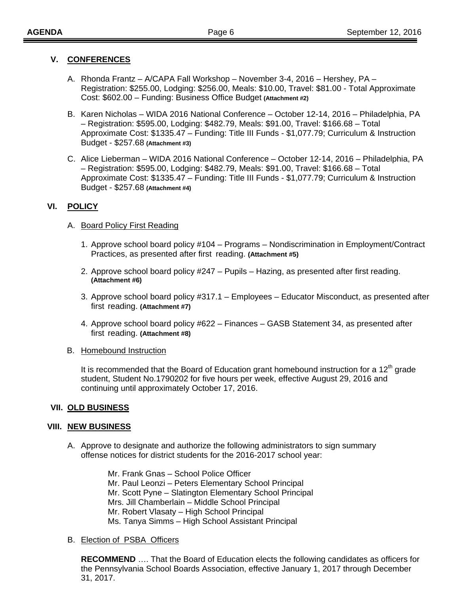## **V. CONFERENCES**

- A. Rhonda Frantz A/CAPA Fall Workshop November 3-4, 2016 Hershey, PA Registration: \$255.00, Lodging: \$256.00, Meals: \$10.00, Travel: \$81.00 - Total Approximate Cost: \$602.00 – Funding: Business Office Budget **(Attachment #2)**
- B. Karen Nicholas WIDA 2016 National Conference October 12-14, 2016 Philadelphia, PA – Registration: \$595.00, Lodging: \$482.79, Meals: \$91.00, Travel: \$166.68 – Total Approximate Cost: \$1335.47 – Funding: Title III Funds - \$1,077.79; Curriculum & Instruction Budget - \$257.68 **(Attachment #3)**
- C. Alice Lieberman WIDA 2016 National Conference October 12-14, 2016 Philadelphia, PA – Registration: \$595.00, Lodging: \$482.79, Meals: \$91.00, Travel: \$166.68 – Total Approximate Cost: \$1335.47 – Funding: Title III Funds - \$1,077.79; Curriculum & Instruction Budget - \$257.68 **(Attachment #4)**

## **VI. POLICY**

#### A. Board Policy First Reading

- 1. Approve school board policy #104 Programs Nondiscrimination in Employment/Contract Practices, as presented after first reading. **(Attachment #5)**
- 2. Approve school board policy #247 Pupils Hazing, as presented after first reading. **(Attachment #6)**
- 3. Approve school board policy #317.1 Employees Educator Misconduct, as presented after first reading. **(Attachment #7)**
- 4. Approve school board policy #622 Finances GASB Statement 34, as presented after first reading. **(Attachment #8)**
- B. Homebound Instruction

It is recommended that the Board of Education grant homebound instruction for a  $12<sup>th</sup>$  grade student, Student No.1790202 for five hours per week, effective August 29, 2016 and continuing until approximately October 17, 2016.

## **VII. OLD BUSINESS**

## **VIII. NEW BUSINESS**

A. Approve to designate and authorize the following administrators to sign summary offense notices for district students for the 2016-2017 school year:

> Mr. Frank Gnas – School Police Officer Mr. Paul Leonzi – Peters Elementary School Principal Mr. Scott Pyne – Slatington Elementary School Principal Mrs. Jill Chamberlain – Middle School Principal Mr. Robert Vlasaty – High School Principal Ms. Tanya Simms – High School Assistant Principal

## B. Election of PSBA Officers

**RECOMMEND** …. That the Board of Education elects the following candidates as officers for the Pennsylvania School Boards Association, effective January 1, 2017 through December 31, 2017.